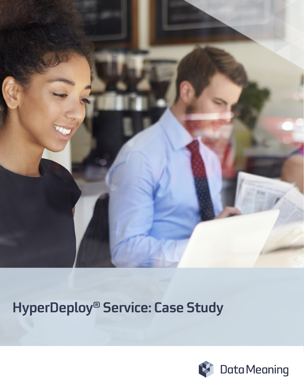

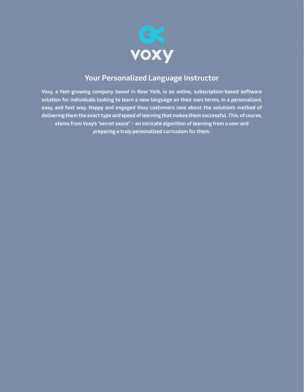

## Your Personalized Language Instructor

Voxy, a fast-growing company based in New York, is an online, subscription-based software solution for individuals looking to learn a new language on their own terms, in a personalized, easy, and fast way. Happy and engaged Voxy customers rave about the solution's method of delivering them the exact type and speed of learning that makes them successful. This, of course, stems from Voxy's "secret sauce" – an intricate algorithm of learning from a user and preparing a truly personalized curriculum for them.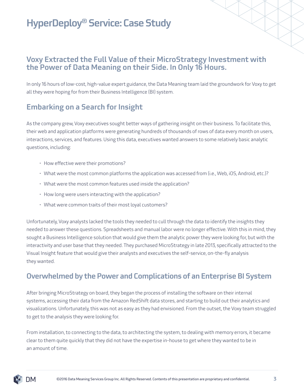### Voxy Extracted the Full Value of their MicroStrategy Investment with the Power of Data Meaning on their Side. In Only 16 Hours.

In only 16 hours of low-cost, high-value expert guidance, the Data Meaning team laid the groundwork for Voxy to get all they were hoping for from their Business Intelligence (BI) system.

## Embarking on a Search for Insight

As the company grew, Voxy executives sought better ways of gathering insight on their business. To facilitate this, their web and application platforms were generating hundreds of thousands of rows of data every month on users, interactions, services, and features. Using this data, executives wanted answers to some relatively basic analytic questions, including:

- How effective were their promotions?
- What were the most common platforms the application was accessed from (i.e., Web, iOS, Android, etc.)?
- What were the most common features used inside the application?
- How long were users interacting with the application?
- What were common traits of their most loyal customers?

Unfortunately, Voxy analysts lacked the tools they needed to cull through the data to identify the insights they needed to answer these questions. Spreadsheets and manual labor were no longer effective. With this in mind, they sought a Business Intelligence solution that would give them the analytic power they were looking for, but with the interactivity and user base that they needed. They purchased MicroStrategy in late 2013, specifically attracted to the Visual Insight feature that would give their analysts and executives the self-service, on-the-fly analysis they wanted.

## Overwhelmed by the Power and Complications of an Enterprise BI System

After bringing MicroStrategy on board, they began the process of installing the software on their internal systems, accessing their data from the Amazon RedShift data stores, and starting to build out their analytics and visualizations. Unfortunately, this was not as easy as they had envisioned. From the outset, the Voxy team struggled to get to the analysis they were looking for.

From installation, to connecting to the data, to architecting the system, to dealing with memory errors, it became clear to them quite quickly that they did not have the expertise in-house to get where they wanted to be in an amount of time.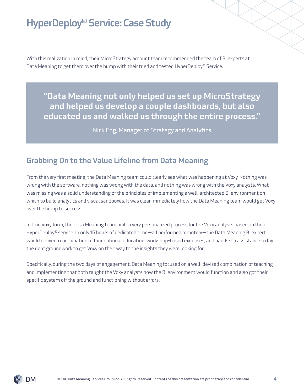With this realization in mind, their MicroStrategy account team recommended the team of BI experts at Data Meaning to get them over the hump with their tried and tested HyperDeploy® Service.

"Data Meaning not only helped us set up MicroStrategy and helped us develop a couple dashboards, but also educated us and walked us through the entire process."

Nick Eng, Manager of Strategy and Analytics

## Grabbing On to the Value Lifeline from Data Meaning

From the very first meeting, the Data Meaning team could clearly see what was happening at Voxy. Nothing was wrong with the software, nothing was wrong with the data, and nothing was wrong with the Voxy analysts. What was missing was a solid understanding of the principles of implementing a well-architected BI environment on which to build analytics and visual sandboxes. It was clear immediately how the Data Meaning team would get Voxy over the hump to success.

In true Voxy form, the Data Meaning team built a very personalized process for the Voxy analysts based on their HyperDeploy® service. In only 16 hours of dedicated time—all performed remotely—the Data Meaning BI expert would deliver a combination of foundational education, workshop-based exercises, and hands-on assistance to lay the right groundwork to get Voxy on their way to the insights they were looking for.

Specifically, during the two days of engagement, Data Meaning focused on a well-devised combination of teaching and implementing that both taught the Voxy analysts how the BI environment would function and also got their specific system off the ground and functioning without errors.